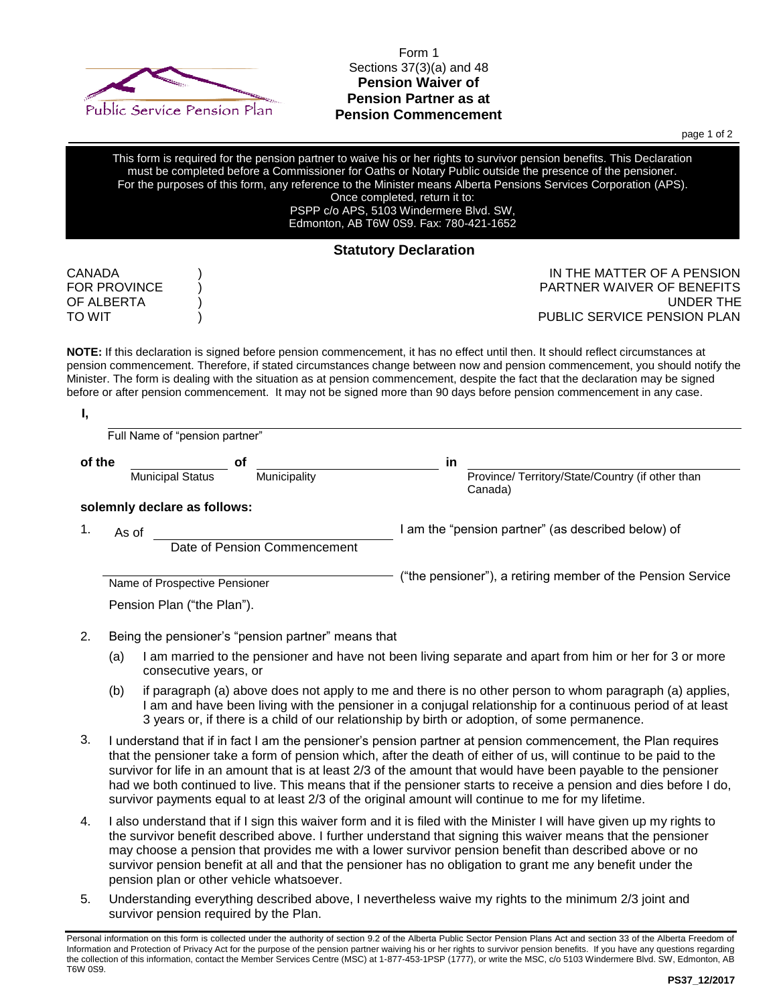

## Form 1 Sections 37(3)(a) and 48 **Pension Waiver of Pension Partner as at Pension Commencement**

page 1 of 2

**Statutory Declaration** CANADA ) IN THE MATTER OF A PENSION FOR PROVINCE ) PARTNER WAIVER OF BENEFITS OF ALBERTA ) UNDER THE TO WIT TO WIT TO ME AND TO ME AND TO ME AND TO WITH THE SERVICE PENSION PLAN **NOTE:** If this declaration is signed before pension commencement, it has no effect until then. It should reflect circumstances at pension commencement. Therefore, if stated circumstances change between now and pension commencement, you should notify the Minister. The form is dealing with the situation as at pension commencement, despite the fact that the declaration may be signed before or after pension commencement. It may not be signed more than 90 days before pension commencement in any case.  **I,** Full Name of "pension partner" **of the of in** Municipal Status Municipality Municipality Province/ Territory/State/Country (if other than Canada) **solemnly declare as follows:**  1. As of Assumption Assets Assets Assets Assets Assets Assets Assets Assets Assets Assets Assets Assets Assets Assets Assets Assets Assets Assets Assets Assets Assets Assets Assets Assets Assets Assets Assets Assets Assets Date of Pension Commencement Name of Prospective Pensioner **Exercise 20 Tensioner** ("the pensioner"), a retiring member of the Pension Service Pension Plan ("the Plan"). This form is required for the pension partner to waive his or her rights to survivor pension benefits. This Declaration must be completed before a Commissioner for Oaths or Notary Public outside the presence of the pensioner. For the purposes of this form, any reference to the Minister means Alberta Pensions Services Corporation (APS). Once completed, return it to: PSPP c/o APS, 5103 Windermere Blvd. SW, Edmonton, AB T6W 0S9. Fax: 780-421-1652

- 2. Being the pensioner's "pension partner" means that
	- (a) I am married to the pensioner and have not been living separate and apart from him or her for 3 or more consecutive years, or
	- (b) if paragraph (a) above does not apply to me and there is no other person to whom paragraph (a) applies, I am and have been living with the pensioner in a conjugal relationship for a continuous period of at least 3 years or, if there is a child of our relationship by birth or adoption, of some permanence.
- 3. I understand that if in fact I am the pensioner's pension partner at pension commencement, the Plan requires that the pensioner take a form of pension which, after the death of either of us, will continue to be paid to the survivor for life in an amount that is at least 2/3 of the amount that would have been payable to the pensioner had we both continued to live. This means that if the pensioner starts to receive a pension and dies before I do, survivor payments equal to at least 2/3 of the original amount will continue to me for my lifetime.
- 4. I also understand that if I sign this waiver form and it is filed with the Minister I will have given up my rights to the survivor benefit described above. I further understand that signing this waiver means that the pensioner may choose a pension that provides me with a lower survivor pension benefit than described above or no survivor pension benefit at all and that the pensioner has no obligation to grant me any benefit under the pension plan or other vehicle whatsoever.
- 5. Understanding everything described above, I nevertheless waive my rights to the minimum 2/3 joint and survivor pension required by the Plan.

Personal information on this form is collected under the authority of section 9.2 of the Alberta Public Sector Pension Plans Act and section 33 of the Alberta Freedom of Information and Protection of Privacy Act for the purpose of the pension partner waiving his or her rights to survivor pension benefits. If you have any questions regarding the collection of this information, contact the Member Services Centre (MSC) at 1-877-453-1PSP (1777), or write the MSC, c/o 5103 Windermere Blvd. SW, Edmonton, AB T6W 0S9.